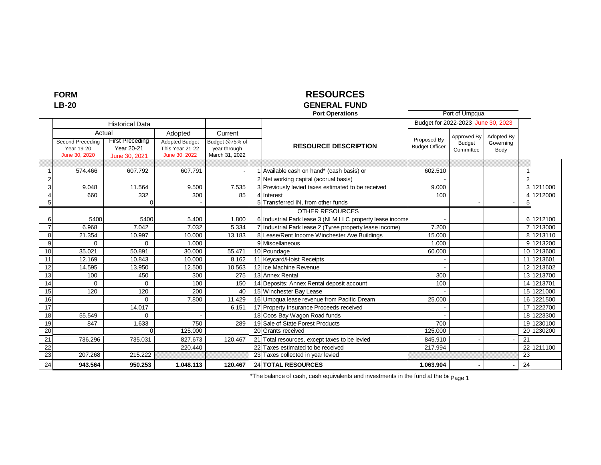# **FORM**

### **LB-20**

# **RESOURCES**

#### **GENERAL FUND Port Operations**

|                |                                                 |                                                                 |                                                                      |                                                             |                                               | <b>Port Operations</b>                                   |                                      | Port of Umpqua                            |                                 |                 |            |
|----------------|-------------------------------------------------|-----------------------------------------------------------------|----------------------------------------------------------------------|-------------------------------------------------------------|-----------------------------------------------|----------------------------------------------------------|--------------------------------------|-------------------------------------------|---------------------------------|-----------------|------------|
|                |                                                 | <b>Historical Data</b>                                          |                                                                      |                                                             |                                               |                                                          | Budget for 2022-2023 June 30, 2023   |                                           |                                 |                 |            |
|                | Second Preceding<br>Year 19-20<br>June 30, 2020 | Actual<br><b>First Preceding</b><br>Year 20-21<br>June 30, 2021 | Adopted<br><b>Adopted Budget</b><br>This Year 21-22<br>June 30, 2022 | Current<br>Budget @75% of<br>year through<br>March 31, 2022 |                                               | <b>RESOURCE DESCRIPTION</b>                              | Proposed By<br><b>Budget Officer</b> | Approved By<br><b>Budget</b><br>Committee | Adopted By<br>Governing<br>Body |                 |            |
|                |                                                 |                                                                 |                                                                      |                                                             |                                               |                                                          |                                      |                                           |                                 |                 |            |
|                | 574.466                                         | 607.792                                                         | 607.791                                                              |                                                             | Available cash on hand* (cash basis) or       |                                                          | 602.510                              |                                           |                                 |                 |            |
| $\overline{2}$ |                                                 |                                                                 |                                                                      |                                                             | 2 Net working capital (accrual basis)         |                                                          |                                      |                                           |                                 | $\overline{2}$  |            |
| 3              | 9.048                                           | 11.564                                                          | 9.500                                                                | 7.535                                                       |                                               | 3 Previously levied taxes estimated to be received       | 9.000                                |                                           |                                 |                 | 3 1211000  |
|                | 660                                             | 332                                                             | 300                                                                  | 85                                                          | 4 Interest                                    |                                                          | 100                                  |                                           |                                 |                 | 1212000    |
| 5              |                                                 | $\Omega$                                                        |                                                                      |                                                             | 5 Transferred IN, from other funds            |                                                          |                                      |                                           |                                 | 5               |            |
|                |                                                 |                                                                 |                                                                      |                                                             |                                               | OTHER RESOURCES                                          |                                      |                                           |                                 |                 |            |
| 6              | 5400                                            | 5400                                                            | 5.400                                                                | 1.800                                                       |                                               | 6 Industrial Park lease 3 (NLM LLC property lease income |                                      |                                           |                                 |                 | 6 1212100  |
| $\overline{7}$ | 6.968                                           | 7.042                                                           | 7.032                                                                | 5.334                                                       |                                               | 7 Industrial Park lease 2 (Tyree property lease income)  | 7.200                                |                                           |                                 |                 | 7 1213000  |
| 8              | 21.354                                          | 10.997                                                          | 10.000                                                               | 13.183                                                      |                                               | Lease/Rent Income Winchester Ave Buildings               | 15.000                               |                                           |                                 |                 | 8 1213110  |
| 9              | $\Omega$                                        | $\Omega$                                                        | 1.000                                                                |                                                             | 9 Miscellaneous                               |                                                          | 1.000                                |                                           |                                 |                 | 9 1213200  |
| 10             | 35.021                                          | 50.891                                                          | 30.000                                                               | 55.471                                                      | 10 Poundage                                   |                                                          | 60.000                               |                                           |                                 |                 | 10 1213600 |
| 11             | 12.169                                          | 10.843                                                          | 10.000                                                               | 8.162                                                       | 11 Keycard/Hoist Receipts                     |                                                          |                                      |                                           |                                 |                 | 11 1213601 |
| 12             | 14.595                                          | 13.950                                                          | 12.500                                                               | 10.563                                                      | 12 Ice Machine Revenue                        |                                                          |                                      |                                           |                                 |                 | 12 1213602 |
| 13             | 100                                             | 450                                                             | 300                                                                  | 275                                                         | 13 Annex Rental                               |                                                          | 300                                  |                                           |                                 |                 | 13 1213700 |
| 14             | $\Omega$                                        | $\Omega$                                                        | 100                                                                  | 150                                                         | 14 Deposits: Annex Rental deposit account     |                                                          | 100                                  |                                           |                                 |                 | 14 1213701 |
| 15             | 120                                             | 120                                                             | 200                                                                  | 40                                                          | 15 Winchester Bay Lease                       |                                                          |                                      |                                           |                                 |                 | 15 1221000 |
| 16             |                                                 | $\Omega$                                                        | 7.800                                                                | 11.429                                                      |                                               | 16 Umpqua lease revenue from Pacific Dream               | 25.000                               |                                           |                                 |                 | 16 1221500 |
| 17             |                                                 | 14.017                                                          |                                                                      | 6.151                                                       | 17 Property Insurance Proceeds received       |                                                          |                                      |                                           |                                 |                 | 17 1222700 |
| 18             | 55.549                                          | $\Omega$                                                        |                                                                      |                                                             | 18 Coos Bay Wagon Road funds                  |                                                          |                                      |                                           |                                 |                 | 18 1223300 |
| 19             | 847                                             | 1.633                                                           | 750                                                                  | 289                                                         | 19 Sale of State Forest Products              |                                                          | 700                                  |                                           |                                 |                 | 19 1230100 |
| 20             |                                                 | $\Omega$                                                        | 125.000                                                              |                                                             | 20 Grants received                            |                                                          | 125.000                              |                                           |                                 |                 | 20 1230200 |
| 21             | 736.296                                         | 735.031                                                         | 827.673                                                              | 120.467                                                     | 21 Total resources, except taxes to be levied |                                                          | 845.910                              |                                           |                                 | 21              |            |
| 22             |                                                 |                                                                 | 220.440                                                              |                                                             | 22 Taxes estimated to be received             |                                                          | 217.994                              |                                           |                                 | 22              | 1211100    |
| 23             | 207.268                                         | 215.222                                                         |                                                                      |                                                             | 23 Taxes collected in year levied             |                                                          |                                      |                                           |                                 | $\overline{23}$ |            |
| 24             | 943.564                                         | 950.253                                                         | 1.048.113                                                            | 120.467                                                     | 24 TOTAL RESOURCES                            |                                                          | 1.063.904                            |                                           |                                 | 24              |            |

\*The balance of cash, cash equivalents and investments in the fund at the be page 1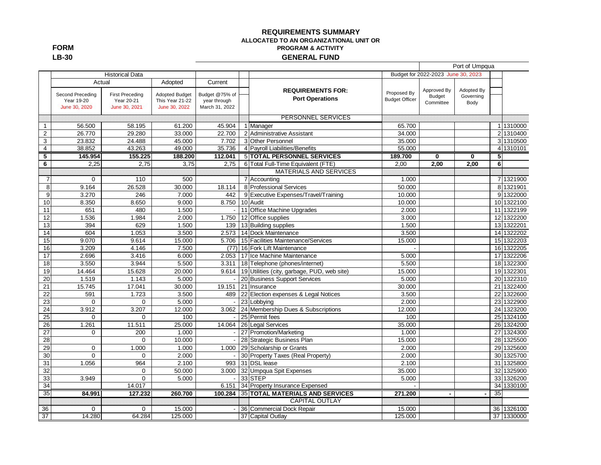#### **REQUIREMENTS SUMMARY ALLOCATED TO AN ORGANIZATIONAL UNIT OR PROGRAM & ACTIVITY GENERAL FUND**

|                 |                                                           |                                                       |                                                                      |                                                             |                                                    |                                      |                                    | Port of Umpqua                  |                |             |
|-----------------|-----------------------------------------------------------|-------------------------------------------------------|----------------------------------------------------------------------|-------------------------------------------------------------|----------------------------------------------------|--------------------------------------|------------------------------------|---------------------------------|----------------|-------------|
|                 |                                                           | <b>Historical Data</b>                                |                                                                      |                                                             |                                                    |                                      | Budget for 2022-2023 June 30, 2023 |                                 |                |             |
|                 | Actual<br>Second Preceding<br>Year 19-20<br>June 30, 2020 | <b>First Preceding</b><br>Year 20-21<br>June 30, 2021 | Adopted<br><b>Adopted Budget</b><br>This Year 21-22<br>June 30, 2022 | Current<br>Budget @75% of<br>year through<br>March 31, 2022 | <b>REQUIREMENTS FOR:</b><br><b>Port Operations</b> | Proposed By<br><b>Budget Officer</b> | Approved By<br>Budget<br>Committee | Adopted By<br>Governing<br>Body |                |             |
|                 |                                                           |                                                       |                                                                      |                                                             |                                                    |                                      |                                    |                                 |                |             |
|                 |                                                           |                                                       |                                                                      |                                                             | <b>PERSONNEL SERVICES</b>                          |                                      |                                    |                                 |                |             |
| $\mathbf{1}$    | 56.500                                                    | 58.195                                                | 61.200                                                               | 45.904                                                      | 1 Manager                                          | 65.700                               |                                    |                                 |                | 1 1310000   |
| $\overline{2}$  | 26.770                                                    | 29.280                                                | 33.000                                                               | 22.700                                                      | 2 Administrative Assistant                         | 34.000                               |                                    |                                 |                | 2 1310400   |
| $\overline{3}$  | 23.832                                                    | 24.488                                                | 45.000                                                               | 7.702                                                       | 3 Other Personnel                                  | 35.000                               |                                    |                                 |                | 3 1310500   |
| $\overline{4}$  | 38.852                                                    | 43.263                                                | 49,000                                                               | 35.736                                                      | 4 Payroll Liabilities/Benefits                     | 55.000                               |                                    |                                 |                | 4 1310101   |
| 5               | 145.954                                                   | 155.225                                               | 188.200                                                              | 112.041                                                     | <b>5 TOTAL PERSONNEL SERVICES</b>                  | 189.700                              | 0                                  | $\bf{0}$                        | 5 <sub>l</sub> |             |
| 6               | 2,25                                                      | 2.75                                                  | 3,75                                                                 | 2.75                                                        | 6 Total Full-Time Equivalent (FTE)                 | 2,00                                 | 2,00                               | 2.00                            | 6              |             |
|                 |                                                           |                                                       |                                                                      |                                                             | MATERIALS AND SERVICES                             |                                      |                                    |                                 |                |             |
| $\overline{7}$  | $\Omega$                                                  | 110                                                   | 500                                                                  |                                                             | 7 Accounting                                       | 1.000                                |                                    |                                 |                | 7 1321900   |
| 8               | 9.164                                                     | 26.528                                                | 30.000                                                               | 18.114                                                      | 8 Professional Services                            | 50.000                               |                                    |                                 |                | 8 1321901   |
| 9               | 3.270                                                     | 246                                                   | 7.000                                                                | 442                                                         | 9 Executive Expenses/Travel/Training               | 10.000                               |                                    |                                 |                | 9 1322000   |
| 10              | 8.350                                                     | 8.650                                                 | 9.000                                                                | 8.750                                                       | 10 Audit                                           | 10.000                               |                                    |                                 |                | 10 1322100  |
| 11              | 651                                                       | 480                                                   | 1.500                                                                | $\overline{\phantom{a}}$                                    | 11 Office Machine Upgrades                         | 2.000                                |                                    |                                 | 11             | 1322199     |
| 12              | 1.536                                                     | 1.984                                                 | 2.000                                                                | 1.750                                                       | 12 Office supplies                                 | 3.000                                |                                    |                                 | 12             | 1322200     |
| $\overline{13}$ | 394                                                       | 629                                                   | 1.500                                                                | 139                                                         | 13 Building supplies                               | 1.500                                |                                    |                                 |                | 13 13 22201 |
| $\overline{14}$ | 604                                                       | 1.053                                                 | 3.500                                                                | 2.573                                                       | 14 Dock Maintenance                                | 3.500                                |                                    |                                 |                | 14 1322202  |
| 15              | 9.070                                                     | 9.614                                                 | 15.000                                                               | 5.706                                                       | 15 Facilities Maintenance/Services                 | 15.000                               |                                    |                                 |                | 15 1322203  |
| 16              | 3.209                                                     | 4.146                                                 | 7.500                                                                | (77)                                                        | 16 Fork Lift Maintenance                           |                                      |                                    |                                 |                | 16 1322205  |
| $\overline{17}$ | 2.696                                                     | 3.416                                                 | 6.000                                                                |                                                             | 2.053 17 Ice Machine Maintenance                   | 5.000                                |                                    |                                 | 17             | 1322206     |
| 18              | 3.550                                                     | 3.944                                                 | 5.500                                                                | 3.311                                                       | 18 Telephone (phones/internet)                     | 5.500                                |                                    |                                 |                | 18 1322300  |
| 19              | 14.464                                                    | 15.628                                                | 20.000                                                               | 9.614                                                       | 19 Utilities (city, garbage, PUD, web site)        | 15.000                               |                                    |                                 |                | 19 1322301  |
| 20              | 1.519                                                     | 1.143                                                 | 5.000                                                                |                                                             | 20 Business Support Services                       | 5.000                                |                                    |                                 |                | 20 1322310  |
| $\overline{21}$ | 15.745                                                    | 17.041                                                | 30.000                                                               | 19.151                                                      | 21 Insurance                                       | 30.000                               |                                    |                                 | 21             | 1322400     |
| $\overline{22}$ | 591                                                       | 1.723                                                 | 3.500                                                                | 489                                                         | 22 Election expenses & Legal Notices               | 3.500                                |                                    |                                 | 22             | 1322600     |
| 23              | $\Omega$                                                  | $\Omega$                                              | 5.000                                                                | $\sim$                                                      | 23 Lobbying                                        | 2.000                                |                                    |                                 | 23             | 1322900     |
| 24              | 3.912                                                     | 3.207                                                 | 12.000                                                               | 3.062                                                       | 24 Membership Dues & Subscriptions                 | 12.000                               |                                    |                                 | 24             | 1323200     |
| 25              | $\Omega$                                                  | $\mathbf{0}$                                          | 100                                                                  |                                                             | 25 Permit fees                                     | 100                                  |                                    |                                 |                | 25 1324100  |
| $\overline{26}$ | 1.261                                                     | 11.511                                                | 25.000                                                               | 14.064                                                      | 26 Legal Services                                  | 35.000                               |                                    |                                 |                | 26 1324200  |
| 27              | $\Omega$                                                  | 200                                                   | 1.000                                                                |                                                             | 27 Promotion/Marketing                             | 1.000                                |                                    |                                 | 27             | 1324300     |
| 28              |                                                           | $\Omega$                                              | 10.000                                                               | $\sim$                                                      | 28 Strategic Business Plan                         | 15.000                               |                                    |                                 | 28             | 1325500     |
| 29              | $\mathbf 0$                                               | 1.000                                                 | 1.000                                                                | 1.000                                                       | 29 Scholarship or Grants                           | 2.000                                |                                    |                                 | 29             | 1325600     |
| 30              | $\overline{0}$                                            | $\Omega$                                              | 2.000                                                                |                                                             | 30 Property Taxes (Real Property)                  | 2.000                                |                                    |                                 |                | 30 1325700  |
| 31              | 1.056                                                     | 964                                                   | 2.100                                                                | 993                                                         | 31 DSL lease                                       | 2.100                                |                                    |                                 | 31             | 1325800     |
| 32              |                                                           | $\mathbf 0$                                           | 50.000                                                               |                                                             | 3.000 32 Umpqua Spit Expenses                      | 35.000                               |                                    |                                 | 32             | 1325900     |
| $\overline{33}$ | 3.949                                                     | $\Omega$                                              | 5.000                                                                | $\sim$ .                                                    | 33 STEP                                            | 5.000                                |                                    |                                 | 33             | 1326200     |
| 34              |                                                           | 14.017                                                |                                                                      | 6.151                                                       | 34 Property Insurance Expensed                     |                                      |                                    |                                 |                | 34 1330100  |
| 35              | 84.991                                                    | 127.232                                               | 260.700                                                              |                                                             | 100.284 35 TOTAL MATERIALS AND SERVICES            | 271.200                              |                                    |                                 | 35             |             |
|                 |                                                           |                                                       |                                                                      |                                                             | <b>CAPITAL OUTLAY</b>                              |                                      |                                    |                                 |                |             |
| 36              | $\Omega$                                                  | $\Omega$                                              | 15.000                                                               |                                                             | 36 Commercial Dock Repair                          | 15.000                               |                                    |                                 | 36             | 1326100     |
| 37              | 14.280                                                    | 64.284                                                | 125.000                                                              |                                                             | 37 Capital Outlay                                  | 125.000                              |                                    |                                 |                | 37 1330000  |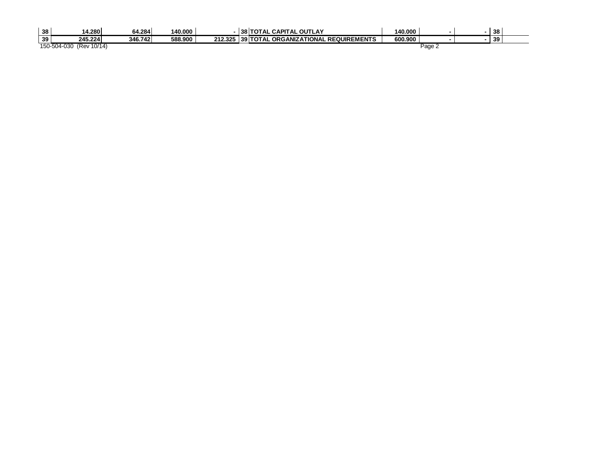| 38 | 14.280                  | 64.284  | 140.000 |  | <b>38 TOTAL CAPITAL OUTLAY</b>               | 140.000 |        | 38 |  |
|----|-------------------------|---------|---------|--|----------------------------------------------|---------|--------|----|--|
| 39 | 245.224                 | 346.742 | 588.900 |  | 212.325 39 TOTAL ORGANIZATIONAL REQUIREMENTS | 600.900 |        | 39 |  |
|    | 150-504-030 (Rev 10/14) |         |         |  |                                              |         | Page 2 |    |  |
|    |                         |         |         |  |                                              |         |        |    |  |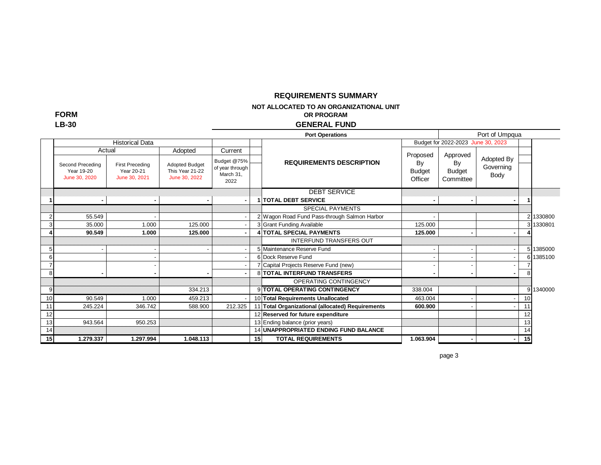### **REQUIREMENTS SUMMARY**

**NOT ALLOCATED TO AN ORGANIZATIONAL UNIT** 

**OR PROGRAM**

#### **GENERAL FUND**

|    |                                                           |                                                       |                                                                      |                                                                |                 | <b>Port Operations</b>                             |                                            |                                       | Port of Umpqua                  |                 |           |
|----|-----------------------------------------------------------|-------------------------------------------------------|----------------------------------------------------------------------|----------------------------------------------------------------|-----------------|----------------------------------------------------|--------------------------------------------|---------------------------------------|---------------------------------|-----------------|-----------|
|    |                                                           | <b>Historical Data</b>                                |                                                                      |                                                                |                 |                                                    |                                            | Budget for 2022-2023 June 30, 2023    |                                 |                 |           |
|    | Actual<br>Second Preceding<br>Year 19-20<br>June 30, 2020 | <b>First Preceding</b><br>Year 20-21<br>June 30, 2021 | Adopted<br><b>Adopted Budget</b><br>This Year 21-22<br>June 30, 2022 | Current<br>Budget @75%<br>of year through<br>March 31,<br>2022 |                 | <b>REQUIREMENTS DESCRIPTION</b>                    | Proposed<br>By<br><b>Budget</b><br>Officer | Approved<br>By<br>Budget<br>Committee | Adopted By<br>Governing<br>Body |                 |           |
|    | ٠                                                         |                                                       |                                                                      |                                                                |                 | <b>DEBT SERVICE</b><br><b>1 TOTAL DEBT SERVICE</b> | ۰.                                         |                                       |                                 |                 |           |
|    |                                                           |                                                       |                                                                      |                                                                |                 | <b>SPECIAL PAYMENTS</b>                            |                                            |                                       |                                 |                 |           |
|    | 55.549                                                    |                                                       |                                                                      |                                                                |                 | 2 Wagon Road Fund Pass-through Salmon Harbor       |                                            |                                       |                                 |                 | 2 1330800 |
|    | 35.000                                                    | 1.000                                                 | 125.000                                                              |                                                                |                 | 3 Grant Funding Available                          | 125.000                                    |                                       |                                 |                 | 3 1330801 |
|    | 90.549                                                    | 1.000                                                 | 125.000                                                              |                                                                |                 | <b>4 TOTAL SPECIAL PAYMENTS</b>                    | 125.000                                    |                                       |                                 |                 |           |
|    |                                                           |                                                       |                                                                      |                                                                |                 | <b>INTERFUND TRANSFERS OUT</b>                     |                                            |                                       |                                 |                 |           |
| 5  |                                                           |                                                       |                                                                      |                                                                |                 | 5 Maintenance Reserve Fund                         |                                            |                                       |                                 | 5               | 1385000   |
|    |                                                           |                                                       |                                                                      |                                                                |                 | 6 Dock Reserve Fund                                |                                            |                                       |                                 |                 | 6 1385100 |
|    |                                                           |                                                       |                                                                      |                                                                |                 | 7 Capital Projects Reserve Fund (new)              |                                            |                                       |                                 |                 |           |
|    |                                                           |                                                       |                                                                      |                                                                |                 | <b>8 TOTAL INTERFUND TRANSFERS</b>                 |                                            |                                       |                                 |                 |           |
|    |                                                           |                                                       |                                                                      |                                                                |                 | OPERATING CONTINGENCY                              |                                            |                                       |                                 |                 |           |
| 9  |                                                           |                                                       | 334.213                                                              |                                                                |                 | 9 TOTAL OPERATING CONTINGENCY                      | 338.004                                    |                                       |                                 |                 | 9 1340000 |
| 10 | 90.549                                                    | 1.000                                                 | 459.213                                                              |                                                                |                 | 10 Total Requirements Unallocated                  | 463.004                                    |                                       |                                 | 10              |           |
| 11 | 245.224                                                   | 346.742                                               | 588.900                                                              | 212.325                                                        |                 | 11 Total Organizational (allocated) Requirements   | 600.900                                    |                                       |                                 | 11              |           |
| 12 |                                                           |                                                       |                                                                      |                                                                |                 | 12 Reserved for future expenditure                 |                                            |                                       |                                 | 12              |           |
| 13 | 943.564                                                   | 950.253                                               |                                                                      |                                                                |                 | 13 Ending balance (prior years)                    |                                            |                                       |                                 | 13              |           |
| 14 |                                                           |                                                       |                                                                      |                                                                |                 | 14 UNAPPROPRIATED ENDING FUND BALANCE              |                                            |                                       |                                 | 14              |           |
| 15 | 1.279.337                                                 | 1.297.994                                             | 1.048.113                                                            |                                                                | 15 <sup>1</sup> | <b>TOTAL REQUIREMENTS</b>                          | 1.063.904                                  |                                       | ٠                               | 15 <sup>1</sup> |           |

**FORM LB-30**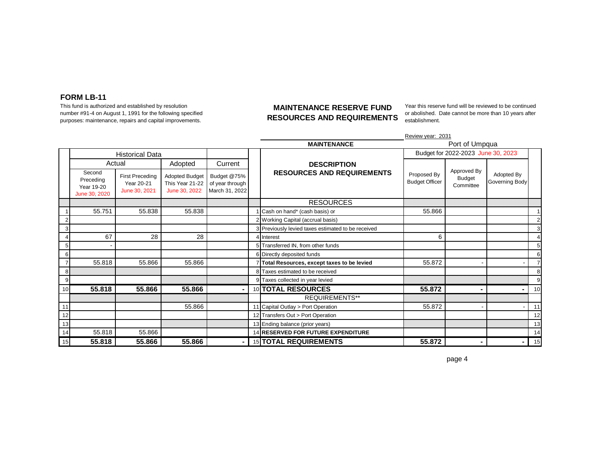This fund is authorized and established by resolution number #91-4 on August 1, 1991 for the following specified purposes: maintenance, repairs and capital improvements.

#### **MAINTENANCE RESERVE FUND RESOURCES AND REQUIREMENTS**

Year this reserve fund will be reviewed to be continued or abolished. Date cannot be more than 10 years after establishment.

|    |                                                    |                                                |                                                           |                                                  |                                                    | Review year: 2031                    |                                    |                              |                  |
|----|----------------------------------------------------|------------------------------------------------|-----------------------------------------------------------|--------------------------------------------------|----------------------------------------------------|--------------------------------------|------------------------------------|------------------------------|------------------|
|    |                                                    |                                                |                                                           |                                                  | <b>MAINTENANCE</b>                                 |                                      | Port of Umpqua                     |                              |                  |
|    |                                                    | <b>Historical Data</b>                         |                                                           |                                                  |                                                    |                                      | Budget for 2022-2023 June 30, 2023 |                              |                  |
|    |                                                    | Actual                                         | Adopted                                                   | Current                                          | <b>DESCRIPTION</b>                                 |                                      |                                    |                              |                  |
|    | Second<br>Preceding<br>Year 19-20<br>June 30, 2020 | First Preceding<br>Year 20-21<br>June 30, 2021 | <b>Adopted Budget</b><br>This Year 21-22<br>June 30, 2022 | Budget @75%<br>of year through<br>March 31, 2022 | <b>RESOURCES AND REQUIREMENTS</b>                  | Proposed By<br><b>Budget Officer</b> | Approved By<br>Budget<br>Committee | Adopted By<br>Governing Body |                  |
|    |                                                    |                                                |                                                           |                                                  | <b>RESOURCES</b>                                   |                                      |                                    |                              |                  |
|    | 55.751                                             | 55.838                                         | 55.838                                                    |                                                  | Cash on hand* (cash basis) or                      | 55.866                               |                                    |                              |                  |
|    |                                                    |                                                |                                                           |                                                  | 2 Working Capital (accrual basis)                  |                                      |                                    |                              | $\overline{2}$   |
|    |                                                    |                                                |                                                           |                                                  | 3 Previously levied taxes estimated to be received |                                      |                                    |                              | 3                |
|    | 67                                                 | 28                                             | 28                                                        |                                                  | 4 Interest                                         | 6                                    |                                    |                              | 4                |
|    |                                                    |                                                |                                                           |                                                  | 5 Transferred IN, from other funds                 |                                      |                                    |                              | 5                |
|    |                                                    |                                                |                                                           |                                                  | 6 Directly deposited funds                         |                                      |                                    |                              | $6 \overline{6}$ |
|    | 55.818                                             | 55.866                                         | 55.866                                                    |                                                  | Total Resources, except taxes to be levied         | 55.872                               |                                    |                              | $\overline{7}$   |
|    |                                                    |                                                |                                                           |                                                  | 8 Taxes estimated to be received                   |                                      |                                    |                              | 8                |
| 9  |                                                    |                                                |                                                           |                                                  | 9 Taxes collected in year levied                   |                                      |                                    |                              | 9                |
| 10 | 55.818                                             | 55.866                                         | 55.866                                                    |                                                  | 10 TOTAL RESOURCES                                 | 55.872                               | $\blacksquare$                     |                              | 10               |
|    |                                                    |                                                |                                                           |                                                  | <b>REQUIREMENTS**</b>                              |                                      |                                    |                              |                  |
| 11 |                                                    |                                                | 55.866                                                    |                                                  | 11 Capital Outlay > Port Operation                 | 55.872                               |                                    |                              | 11               |
| 12 |                                                    |                                                |                                                           |                                                  | 12 Transfers Out > Port Operation                  |                                      |                                    |                              | 12               |
| 13 |                                                    |                                                |                                                           |                                                  | 13 Ending balance (prior years)                    |                                      |                                    |                              | 13               |
| 14 | 55.818                                             | 55.866                                         |                                                           |                                                  | 14 RESERVED FOR FUTURE EXPENDITURE                 |                                      |                                    |                              | 14               |
| 15 | 55.818                                             | 55.866                                         | 55.866                                                    | $\blacksquare$                                   | 15 TOTAL REQUIREMENTS                              | 55.872                               | -                                  |                              | 15               |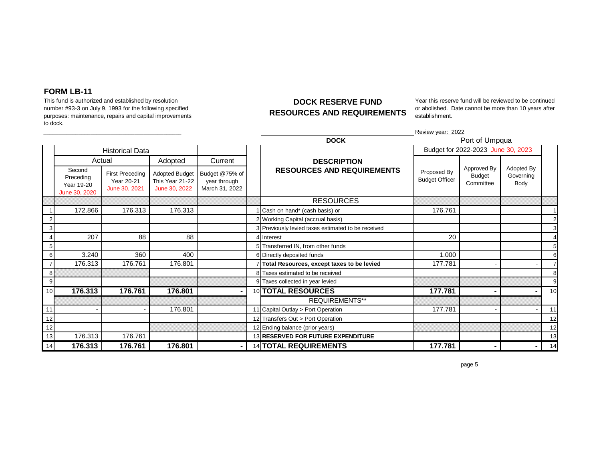This fund is authorized and established by resolution number #93-3 on July 9, 1993 for the following specified purposes: maintenance, repairs and capital improvements to dock.

### **DOCK RESERVE FUND RESOURCES AND REQUIREMENTS**

Year this reserve fund will be reviewed to be continued or abolished. Date cannot be more than 10 years after establishment.

Review year: 2022

|    |                                                    |                                                       |                                                           |                                                  | <b>DOCK</b>                                        |                                      | Port of Umpqua                     |                                 |    |
|----|----------------------------------------------------|-------------------------------------------------------|-----------------------------------------------------------|--------------------------------------------------|----------------------------------------------------|--------------------------------------|------------------------------------|---------------------------------|----|
|    |                                                    | <b>Historical Data</b>                                |                                                           |                                                  |                                                    |                                      | Budget for 2022-2023 June 30, 2023 |                                 |    |
|    |                                                    | Actual                                                | Adopted                                                   | Current                                          | <b>DESCRIPTION</b>                                 |                                      |                                    |                                 |    |
|    | Second<br>Preceding<br>Year 19-20<br>June 30, 2020 | <b>First Preceding</b><br>Year 20-21<br>June 30, 2021 | <b>Adopted Budget</b><br>This Year 21-22<br>June 30, 2022 | Budget @75% of<br>year through<br>March 31, 2022 | <b>RESOURCES AND REQUIREMENTS</b>                  | Proposed By<br><b>Budget Officer</b> | Approved By<br>Budget<br>Committee | Adopted By<br>Governing<br>Body |    |
|    |                                                    |                                                       |                                                           |                                                  | <b>RESOURCES</b>                                   |                                      |                                    |                                 |    |
|    | 172.866                                            | 176.313                                               | 176.313                                                   |                                                  | Cash on hand* (cash basis) or                      | 176.761                              |                                    |                                 |    |
|    |                                                    |                                                       |                                                           |                                                  | 2 Working Capital (accrual basis)                  |                                      |                                    |                                 |    |
|    |                                                    |                                                       |                                                           |                                                  | 3 Previously levied taxes estimated to be received |                                      |                                    |                                 | 3  |
|    | 207                                                | 88                                                    | 88                                                        |                                                  | 4 Interest                                         | 20                                   |                                    |                                 |    |
| 5  |                                                    |                                                       |                                                           |                                                  | 5 Transferred IN, from other funds                 |                                      |                                    |                                 |    |
| 6  | 3.240                                              | 360                                                   | 400                                                       |                                                  | 6 Directly deposited funds                         | 1.000                                |                                    |                                 | 6  |
|    | 176.313                                            | 176.761                                               | 176.801                                                   |                                                  | Total Resources, except taxes to be levied         | 177.781                              |                                    |                                 |    |
| 8  |                                                    |                                                       |                                                           |                                                  | 8 Taxes estimated to be received                   |                                      |                                    |                                 | 8  |
| 9  |                                                    |                                                       |                                                           |                                                  | 9 Taxes collected in year levied                   |                                      |                                    |                                 | 9  |
| 10 | 176.313                                            | 176.761                                               | 176.801                                                   |                                                  | 10 TOTAL RESOURCES                                 | 177.781                              | ۰                                  |                                 | 10 |
|    |                                                    |                                                       |                                                           |                                                  | <b>REQUIREMENTS**</b>                              |                                      |                                    |                                 |    |
| 11 |                                                    |                                                       | 176.801                                                   |                                                  | 11 Capital Outlay > Port Operation                 | 177.781                              |                                    |                                 | 11 |
| 12 |                                                    |                                                       |                                                           |                                                  | 12 Transfers Out > Port Operation                  |                                      |                                    |                                 | 12 |
| 12 |                                                    |                                                       |                                                           |                                                  | 12 Ending balance (prior years)                    |                                      |                                    |                                 | 12 |
| 13 | 176.313                                            | 176.761                                               |                                                           |                                                  | 13 RESERVED FOR FUTURE EXPENDITURE                 |                                      |                                    |                                 | 13 |
| 14 | 176.313                                            | 176.761                                               | 176.801                                                   |                                                  | <b>14 TOTAL REQUIREMENTS</b>                       | 177.781                              |                                    |                                 | 14 |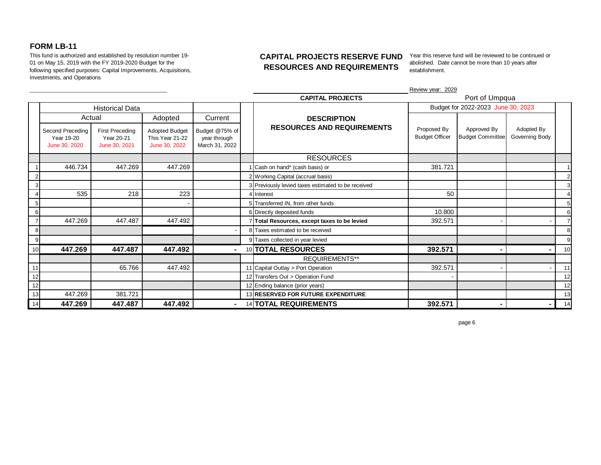This fund is authorized and established by resolution number 19- 01 on May 15, 2019 with the FY 2019-2020 Budget for the following specified purposes: Capital Improvements, Acquisitions, Investments, and Operations

## **CAPITAL PROJECTS RESERVE FUND RESOURCES AND REQUIREMENTS**

Year this reserve fund will be reviewed to be continued or abolished. Date cannot be more than 10 years after establishment.

|                 |                                                 |                                                       |                                                           |                                                  |                                                    | Review year: 2029                    |                                        |                              |    |
|-----------------|-------------------------------------------------|-------------------------------------------------------|-----------------------------------------------------------|--------------------------------------------------|----------------------------------------------------|--------------------------------------|----------------------------------------|------------------------------|----|
|                 |                                                 |                                                       |                                                           |                                                  | <b>CAPITAL PROJECTS</b>                            |                                      | Port of Umpqua                         |                              |    |
|                 |                                                 | <b>Historical Data</b>                                |                                                           |                                                  |                                                    |                                      | Budget for 2022-2023 June 30, 2023     |                              |    |
|                 | Actual                                          |                                                       | Adopted                                                   | Current                                          | <b>DESCRIPTION</b>                                 |                                      |                                        |                              |    |
|                 | Second Preceding<br>Year 19-20<br>June 30, 2020 | <b>First Preceding</b><br>Year 20-21<br>June 30, 2021 | <b>Adopted Budget</b><br>This Year 21-22<br>June 30, 2022 | Budget @75% of<br>year through<br>March 31, 2022 | <b>RESOURCES AND REQUIREMENTS</b>                  | Proposed By<br><b>Budget Officer</b> | Approved By<br><b>Budget Committee</b> | Adopted By<br>Governing Body |    |
|                 |                                                 |                                                       |                                                           |                                                  | <b>RESOURCES</b>                                   |                                      |                                        |                              |    |
|                 | 446.734                                         | 447.269                                               | 447.269                                                   |                                                  | Cash on hand* (cash basis) or                      | 381.721                              |                                        |                              |    |
|                 |                                                 |                                                       |                                                           |                                                  | 2 Working Capital (accrual basis)                  |                                      |                                        |                              |    |
|                 |                                                 |                                                       |                                                           |                                                  | 3 Previously levied taxes estimated to be received |                                      |                                        |                              |    |
|                 | 535                                             | 218                                                   | 223                                                       |                                                  | 4 Interest                                         | 50                                   |                                        |                              |    |
|                 |                                                 |                                                       |                                                           |                                                  | 5 Transferred IN, from other funds                 |                                      |                                        |                              |    |
|                 |                                                 |                                                       |                                                           |                                                  | 6 Directly deposited funds                         | 10.800                               |                                        |                              | 6  |
|                 | 447.269                                         | 447.487                                               | 447.492                                                   |                                                  | Total Resources, except taxes to be levied         | 392.571                              |                                        |                              |    |
|                 |                                                 |                                                       |                                                           |                                                  | 8 Taxes estimated to be received                   |                                      |                                        |                              | 8  |
|                 |                                                 |                                                       |                                                           |                                                  | 9 Taxes collected in year levied                   |                                      |                                        |                              | 9  |
| 10 <sup>1</sup> | 447.269                                         | 447.487                                               | 447.492                                                   |                                                  | 10 TOTAL RESOURCES                                 | 392.571                              |                                        |                              | 10 |
|                 |                                                 |                                                       |                                                           |                                                  | <b>REQUIREMENTS**</b>                              |                                      |                                        |                              |    |
| 11              |                                                 | 65.766                                                | 447.492                                                   |                                                  | 11 Capital Outlay > Port Operation                 | 392.571                              |                                        |                              | 11 |
| 12              |                                                 |                                                       |                                                           |                                                  | 12 Transfers Out > Operation Fund                  |                                      |                                        |                              | 12 |
| 12              |                                                 |                                                       |                                                           |                                                  | 12 Ending balance (prior years)                    |                                      |                                        |                              | 12 |
| 13              | 447.269                                         | 381.721                                               |                                                           |                                                  | 13 RESERVED FOR FUTURE EXPENDITURE                 |                                      |                                        |                              | 13 |
| 14              | 447.269                                         | 447.487                                               | 447.492                                                   | ۰                                                | 14 TOTAL REQUIREMENTS                              | 392.571                              |                                        |                              | 14 |